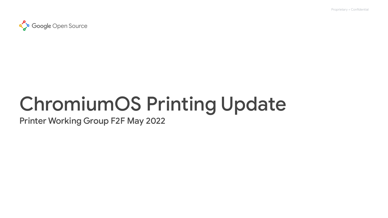Proprietary + Confidential



# ChromiumOS Printing Update

Printer Working Group F2F May 2022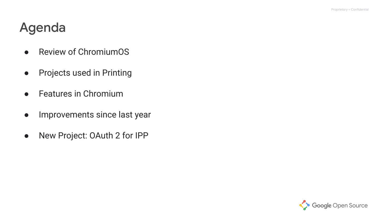# Agenda

- Review of ChromiumOS
- Projects used in Printing
- Features in Chromium
- Improvements since last year
- New Project: OAuth 2 for IPP

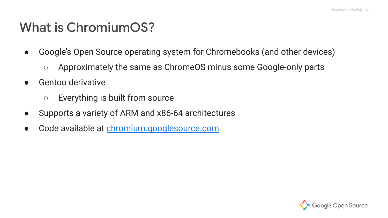# What is ChromiumOS?

- Google's Open Source operating system for Chromebooks (and other devices)
	- Approximately the same as ChromeOS minus some Google-only parts
- Gentoo derivative
	- Everything is built from source
- Supports a variety of ARM and x86-64 architectures
- Code available at [chromium.googlesource.com](https://chromium.googlesource.com/chromiumos/overlays/chromiumos-overlay/+/refs/heads/main)

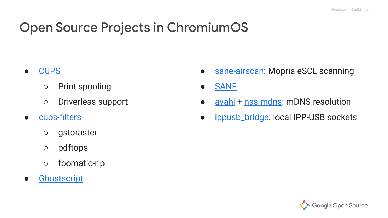# Open Source Projects in ChromiumOS

- [CUPS](https://source.chromium.org/chromiumos/chromiumos/codesearch/+/main:src/third_party/cups/cups/)
	- Print spooling
	- Driverless support
- [cups-filters](https://source.chromium.org/chromiumos/chromiumos/codesearch/+/main:src/third_party/chromiumos-overlay/net-print/cups-filters/)
	- gstoraster
	- pdftops
	- foomatic-rip
- [Ghostscript](https://source.chromium.org/chromiumos/chromiumos/codesearch/+/main:src/third_party/chromiumos-overlay/app-text/ghostscript-gpl/)
- [sane-airscan:](https://source.chromium.org/chromiumos/chromiumos/codesearch/+/main:src/third_party/chromiumos-overlay/media-gfx/sane-airscan/) Mopria eSCL scanning
- **[SANE](https://source.chromium.org/chromiumos/chromiumos/codesearch/+/main:src/third_party/chromiumos-overlay/media-gfx/sane-backends/)**
- [avahi](https://source.chromium.org/chromiumos/chromiumos/codesearch/+/main:src/third_party/chromiumos-overlay/net-dns/avahi/) + [nss-mdns](https://source.chromium.org/chromiumos/chromiumos/codesearch/+/main:src/third_party/chromiumos-overlay/sys-auth/nss-mdns/): mDNS resolution
- [ippusb\\_bridge:](http://cs/chromeos_public/src/platform2/ippusb_bridge/) local IPP-USB sockets

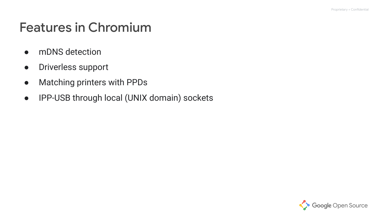# Features in Chromium

- mDNS detection
- Driverless support
- Matching printers with PPDs
- IPP-USB through local (UNIX domain) sockets

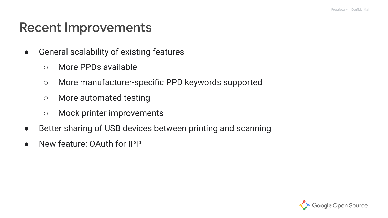#### Recent Improvements

- General scalability of existing features
	- More PPDs available
	- More manufacturer-specific PPD keywords supported
	- More automated testing
	- Mock printer improvements
- Better sharing of USB devices between printing and scanning
- New feature: OAuth for IPP

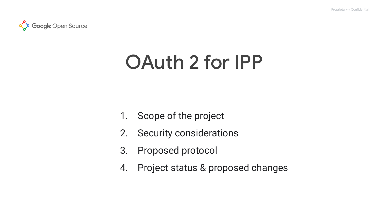

# OAuth 2 for IPP

- 1. Scope of the project
- 2. Security considerations
- 3. Proposed protocol
- 4. Project status & proposed changes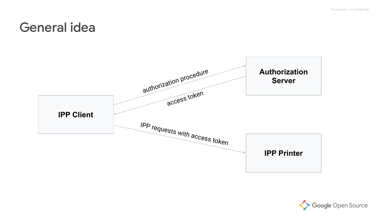#### General idea



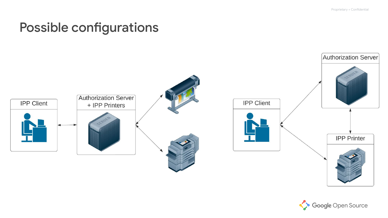### Possible configurations



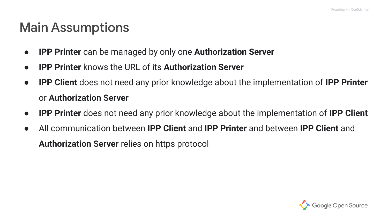### Main Assumptions

- **IPP Printer** can be managed by only one **Authorization Server**
- **● IPP Printer** knows the URL of its **Authorization Server**
- **● IPP Client** does not need any prior knowledge about the implementation of **IPP Printer** or **Authorization Server**
- **IPP Printer** does not need any prior knowledge about the implementation of **IPP Client**
- All communication between **IPP Client** and **IPP Printer** and between **IPP Client** and **Authorization Server** relies on https protocol

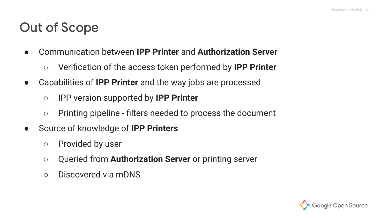# Out of Scope

- Communication between **IPP Printer** and **Authorization Server**
	- Verification of the access token performed by **IPP Printer**
- Capabilities of **IPP Printer** and the way jobs are processed
	- IPP version supported by **IPP Printer**
	- Printing pipeline filters needed to process the document
- Source of knowledge of **IPP Printers**
	- Provided by user
	- Queried from **Authorization Server** or printing server
	- Discovered via mDNS

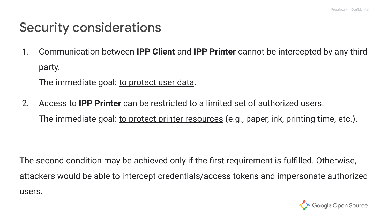### Security considerations

1. Communication between **IPP Client** and **IPP Printer** cannot be intercepted by any third party.

The immediate goal: to protect user data.

2. Access to **IPP Printer** can be restricted to a limited set of authorized users. The immediate goal: <u>to protect printer resources</u> (e.g., paper, ink, printing time, etc.).

The second condition may be achieved only if the first requirement is fulfilled. Otherwise, attackers would be able to intercept credentials/access tokens and impersonate authorized users.

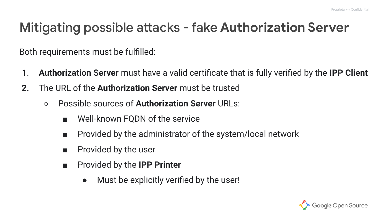# Mitigating possible attacks - fake **Authorization Server**

Both requirements must be fulfilled:

- 1. **Authorization Server** must have a valid certificate that is fully verified by the **IPP Client**
- **2.** The URL of the **Authorization Server** must be trusted
	- Possible sources of **Authorization Server** URLs:
		- Well-known FQDN of the service
		- Provided by the administrator of the system/local network
		- Provided by the user
		- Provided by the **IPP Printer** 
			- Must be explicitly verified by the user!

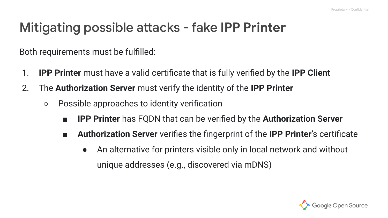# Mitigating possible attacks - fake **IPP Printer**

Both requirements must be fulfilled:

- 1. **IPP Printer** must have a valid certificate that is fully verified by the **IPP Client**
- 2. The **Authorization Server** must verify the identity of the **IPP Printer**
	- Possible approaches to identity verification
		- **IPP Printer** has FQDN that can be verified by the **Authorization Server**
		- **Authorization Server** verifies the fingerprint of the **IPP Printer**'s certificate
			- An alternative for printers visible only in local network and without unique addresses (e.g., discovered via mDNS)

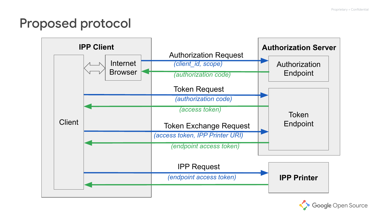# Proposed protocol



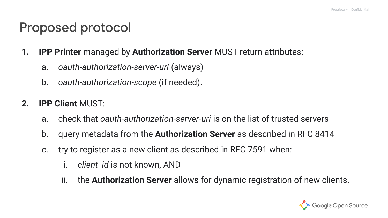#### Proposed protocol

- **1. IPP Printer** managed by **Authorization Server** MUST return attributes:
	- a. *oauth-authorization-server-uri* (always)
	- b. *oauth-authorization-scope* (if needed).
- **2. IPP Client** MUST:
	- a. check that *oauth-authorization-server-uri* is on the list of trusted servers
	- b. query metadata from the **Authorization Server** as described in RFC 8414
	- c. try to register as a new client as described in RFC 7591 when:
		- i. *client\_id* is not known, AND
		- ii. the **Authorization Server** allows for dynamic registration of new clients.

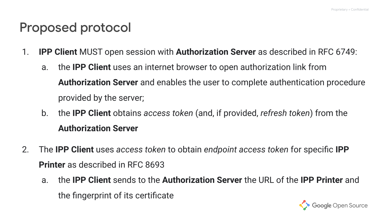#### Proposed protocol

- 1. **IPP Client** MUST open session with **Authorization Server** as described in RFC 6749:
	- a. the **IPP Client** uses an internet browser to open authorization link from **Authorization Server** and enables the user to complete authentication procedure provided by the server;
	- b. the **IPP Client** obtains *access token* (and, if provided, *refresh token*) from the **Authorization Server**
- 2. The **IPP Client** uses *access token* to obtain *endpoint access token* for specific **IPP Printer** as described in RFC 8693
	- a. the **IPP Client** sends to the **Authorization Server** the URL of the **IPP Printer** and the fingerprint of its certificate

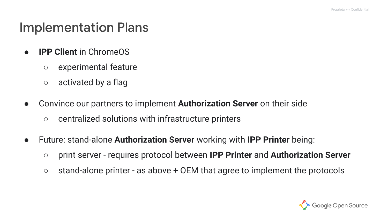#### Implementation Plans

- **IPP Client** in ChromeOS
	- experimental feature
	- activated by a flag
- Convince our partners to implement **Authorization Server** on their side
	- centralized solutions with infrastructure printers
- Future: stand-alone **Authorization Server** working with **IPP Printer** being:
	- print server requires protocol between **IPP Printer** and **Authorization Server**
	- $\circ$  stand-alone printer as above + OEM that agree to implement the protocols

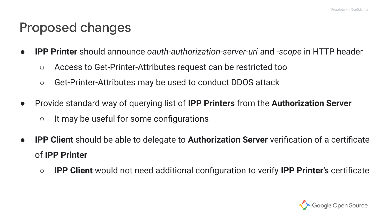#### Proposed changes

- **IPP Printer** should announce *oauth-authorization-server-uri* and *-scope* in HTTP header
	- **○** Access to Get-Printer-Attributes request can be restricted too
	- Get-Printer-Attributes may be used to conduct DDOS attack
- Provide standard way of querying list of **IPP Printers** from the **Authorization Server** ○ It may be useful for some configurations
- **IPP Client** should be able to delegate to **Authorization Server** verification of a certificate of **IPP Printer**
	- **○ IPP Client** would not need additional configuration to verify **IPP Printer's** certificate